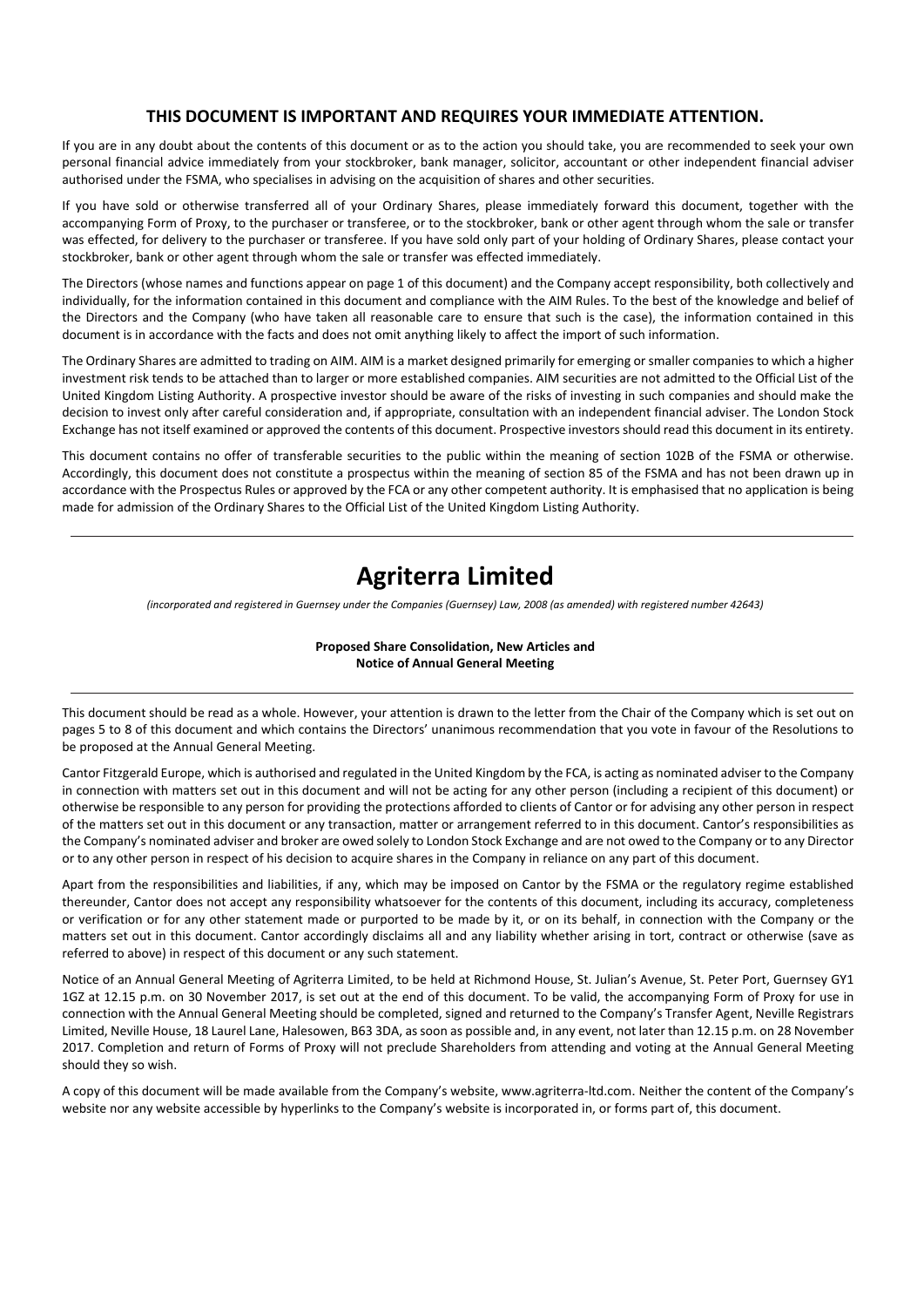### **THIS DOCUMENT IS IMPORTANT AND REQUIRES YOUR IMMEDIATE ATTENTION.**

If you are in any doubt about the contents of this document or as to the action you should take, you are recommended to seek your own personal financial advice immediately from your stockbroker, bank manager, solicitor, accountant or other independent financial adviser authorised under the FSMA, who specialises in advising on the acquisition of shares and other securities.

If you have sold or otherwise transferred all of your Ordinary Shares, please immediately forward this document, together with the accompanying Form of Proxy, to the purchaser or transferee, or to the stockbroker, bank or other agent through whom the sale or transfer was effected, for delivery to the purchaser or transferee. If you have sold only part of your holding of Ordinary Shares, please contact your stockbroker, bank or other agent through whom the sale or transfer was effected immediately.

The Directors (whose names and functions appear on page 1 of this document) and the Company accept responsibility, both collectively and individually, for the information contained in this document and compliance with the AIM Rules. To the best of the knowledge and belief of the Directors and the Company (who have taken all reasonable care to ensure that such is the case), the information contained in this document is in accordance with the facts and does not omit anything likely to affect the import of such information.

The Ordinary Shares are admitted to trading on AIM. AIM is a market designed primarily for emerging or smaller companies to which a higher investment risk tends to be attached than to larger or more established companies. AIM securities are not admitted to the Official List of the United Kingdom Listing Authority. A prospective investor should be aware of the risks of investing in such companies and should make the decision to invest only after careful consideration and, if appropriate, consultation with an independent financial adviser. The London Stock Exchange has not itself examined or approved the contents of this document. Prospective investors should read this document in its entirety.

This document contains no offer of transferable securities to the public within the meaning of section 102B of the FSMA or otherwise. Accordingly, this document does not constitute a prospectus within the meaning of section 85 of the FSMA and has not been drawn up in accordance with the Prospectus Rules or approved by the FCA or any other competent authority. It is emphasised that no application is being made for admission of the Ordinary Shares to the Official List of the United Kingdom Listing Authority.

# **Agriterra Limited**

*(incorporated and registered in Guernsey under the Companies (Guernsey) Law, 2008 (as amended) with registered number 42643)* 

#### **Proposed Share Consolidation, New Articles and Notice of Annual General Meeting**

This document should be read as a whole. However, your attention is drawn to the letter from the Chair of the Company which is set out on pages 5 to 8 of this document and which contains the Directors' unanimous recommendation that you vote in favour of the Resolutions to be proposed at the Annual General Meeting.

Cantor Fitzgerald Europe, which is authorised and regulated in the United Kingdom by the FCA, is acting as nominated adviser to the Company in connection with matters set out in this document and will not be acting for any other person (including a recipient of this document) or otherwise be responsible to any person for providing the protections afforded to clients of Cantor or for advising any other person in respect of the matters set out in this document or any transaction, matter or arrangement referred to in this document. Cantor's responsibilities as the Company's nominated adviser and broker are owed solely to London Stock Exchange and are not owed to the Company or to any Director or to any other person in respect of his decision to acquire shares in the Company in reliance on any part of this document.

Apart from the responsibilities and liabilities, if any, which may be imposed on Cantor by the FSMA or the regulatory regime established thereunder, Cantor does not accept any responsibility whatsoever for the contents of this document, including its accuracy, completeness or verification or for any other statement made or purported to be made by it, or on its behalf, in connection with the Company or the matters set out in this document. Cantor accordingly disclaims all and any liability whether arising in tort, contract or otherwise (save as referred to above) in respect of this document or any such statement.

Notice of an Annual General Meeting of Agriterra Limited, to be held at Richmond House, St. Julian's Avenue, St. Peter Port, Guernsey GY1 1GZ at 12.15 p.m. on 30 November 2017, is set out at the end of this document. To be valid, the accompanying Form of Proxy for use in connection with the Annual General Meeting should be completed, signed and returned to the Company's Transfer Agent, Neville Registrars Limited, Neville House, 18 Laurel Lane, Halesowen, B63 3DA, as soon as possible and, in any event, not later than 12.15 p.m. on 28 November 2017. Completion and return of Forms of Proxy will not preclude Shareholders from attending and voting at the Annual General Meeting should they so wish.

A copy of this document will be made available from the Company's website, www.agriterra-ltd.com. Neither the content of the Company's website nor any website accessible by hyperlinks to the Company's website is incorporated in, or forms part of, this document.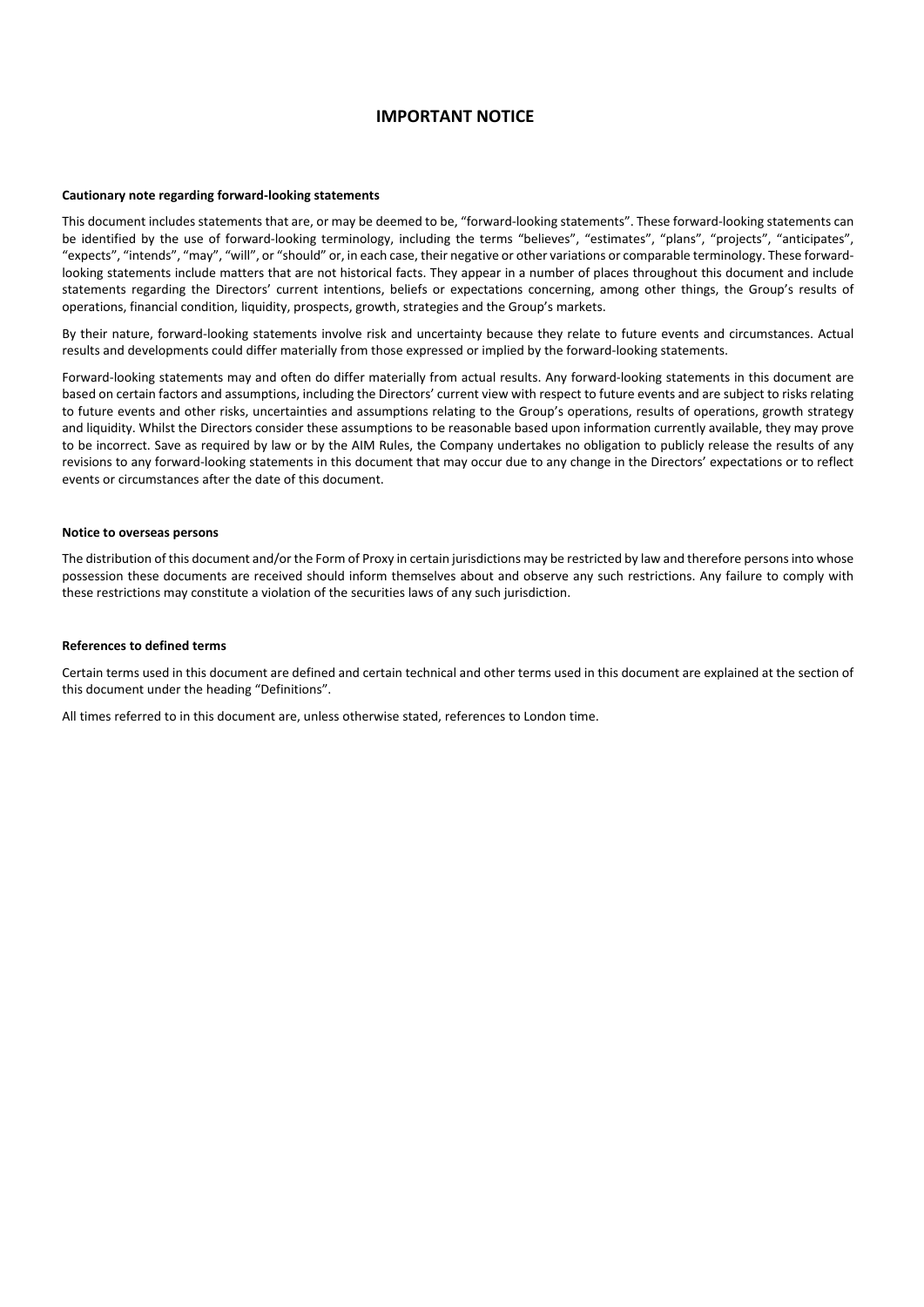## **IMPORTANT NOTICE**

#### **Cautionary note regarding forward-looking statements**

This document includes statements that are, or may be deemed to be, "forward-looking statements". These forward-looking statements can be identified by the use of forward-looking terminology, including the terms "believes", "estimates", "plans", "projects", "anticipates", "expects", "intends", "may", "will", or "should" or, in each case, their negative or other variations or comparable terminology. These forwardlooking statements include matters that are not historical facts. They appear in a number of places throughout this document and include statements regarding the Directors' current intentions, beliefs or expectations concerning, among other things, the Group's results of operations, financial condition, liquidity, prospects, growth, strategies and the Group's markets.

By their nature, forward-looking statements involve risk and uncertainty because they relate to future events and circumstances. Actual results and developments could differ materially from those expressed or implied by the forward-looking statements.

Forward-looking statements may and often do differ materially from actual results. Any forward-looking statements in this document are based on certain factors and assumptions, including the Directors' current view with respect to future events and are subject to risks relating to future events and other risks, uncertainties and assumptions relating to the Group's operations, results of operations, growth strategy and liquidity. Whilst the Directors consider these assumptions to be reasonable based upon information currently available, they may prove to be incorrect. Save as required by law or by the AIM Rules, the Company undertakes no obligation to publicly release the results of any revisions to any forward-looking statements in this document that may occur due to any change in the Directors' expectations or to reflect events or circumstances after the date of this document.

#### **Notice to overseas persons**

The distribution of this document and/or the Form of Proxy in certain jurisdictions may be restricted by law and therefore persons into whose possession these documents are received should inform themselves about and observe any such restrictions. Any failure to comply with these restrictions may constitute a violation of the securities laws of any such jurisdiction.

#### **References to defined terms**

Certain terms used in this document are defined and certain technical and other terms used in this document are explained at the section of this document under the heading "Definitions".

All times referred to in this document are, unless otherwise stated, references to London time.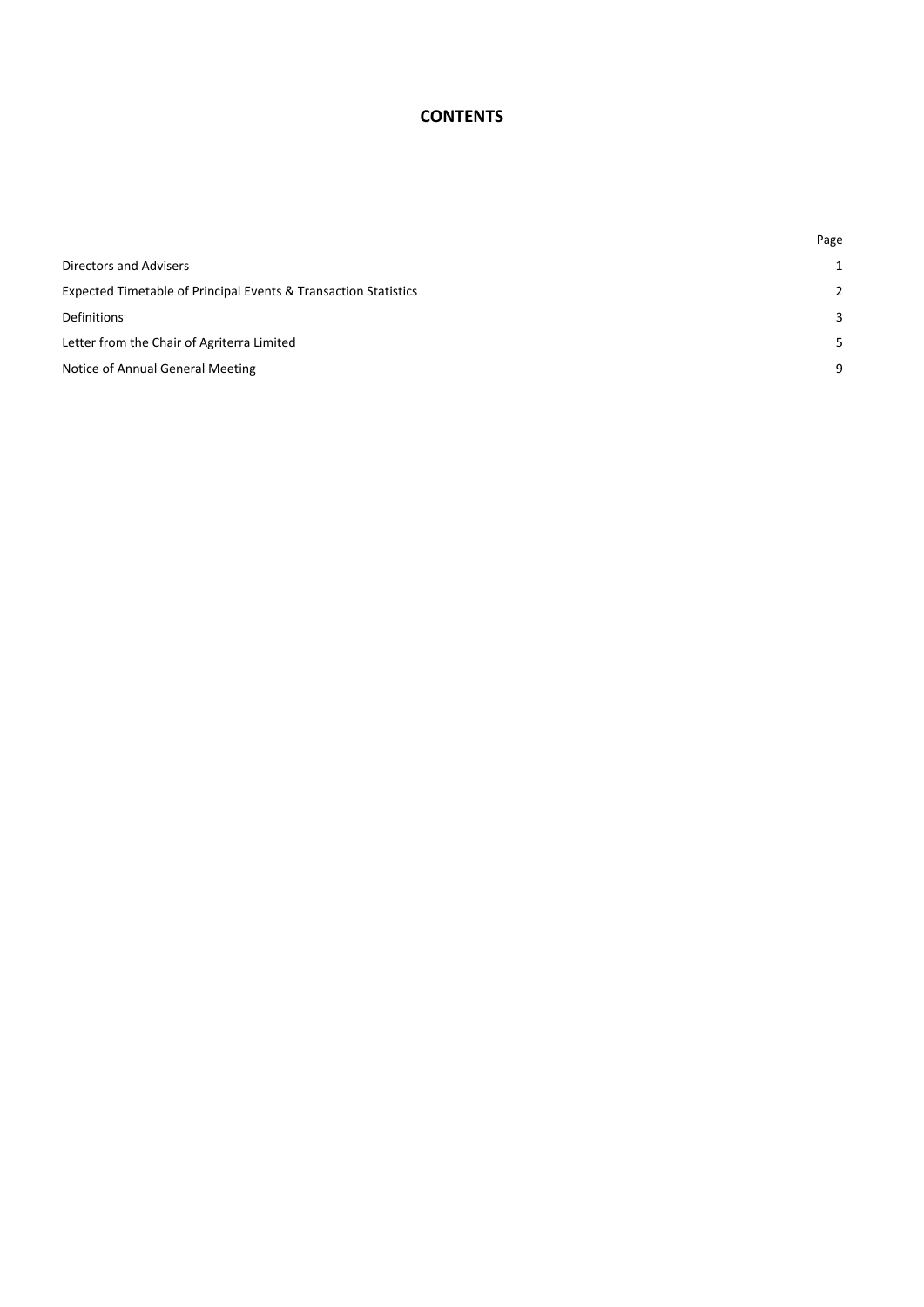# **CONTENTS**

|                                                                 | Page |
|-----------------------------------------------------------------|------|
| Directors and Advisers                                          | 1    |
| Expected Timetable of Principal Events & Transaction Statistics | 2    |
| Definitions                                                     | 3    |
| Letter from the Chair of Agriterra Limited                      | 5    |
| Notice of Annual General Meeting                                | 9    |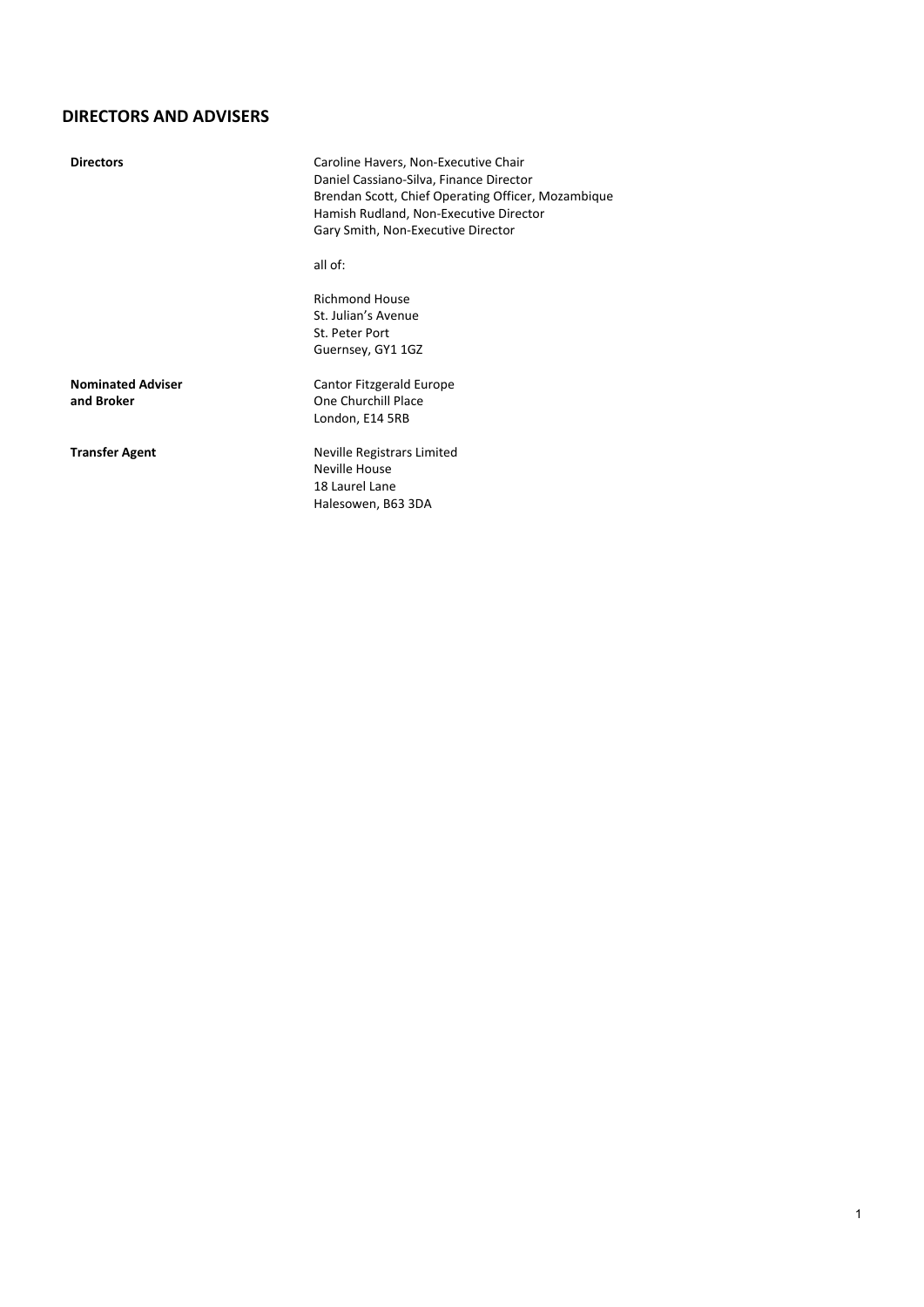# **DIRECTORS AND ADVISERS**

| <b>Directors</b>                       | Caroline Havers, Non-Executive Chair<br>Daniel Cassiano-Silva, Finance Director<br>Brendan Scott, Chief Operating Officer, Mozambique<br>Hamish Rudland, Non-Executive Director<br>Gary Smith, Non-Executive Director |
|----------------------------------------|-----------------------------------------------------------------------------------------------------------------------------------------------------------------------------------------------------------------------|
|                                        | all of:                                                                                                                                                                                                               |
|                                        | <b>Richmond House</b><br>St. Julian's Avenue<br>St. Peter Port<br>Guernsey, GY1 1GZ                                                                                                                                   |
| <b>Nominated Adviser</b><br>and Broker | Cantor Fitzgerald Europe<br>One Churchill Place<br>London, E14 5RB                                                                                                                                                    |
| <b>Transfer Agent</b>                  | Neville Registrars Limited<br>Neville House<br>18 Laurel Lane<br>Halesowen, B63 3DA                                                                                                                                   |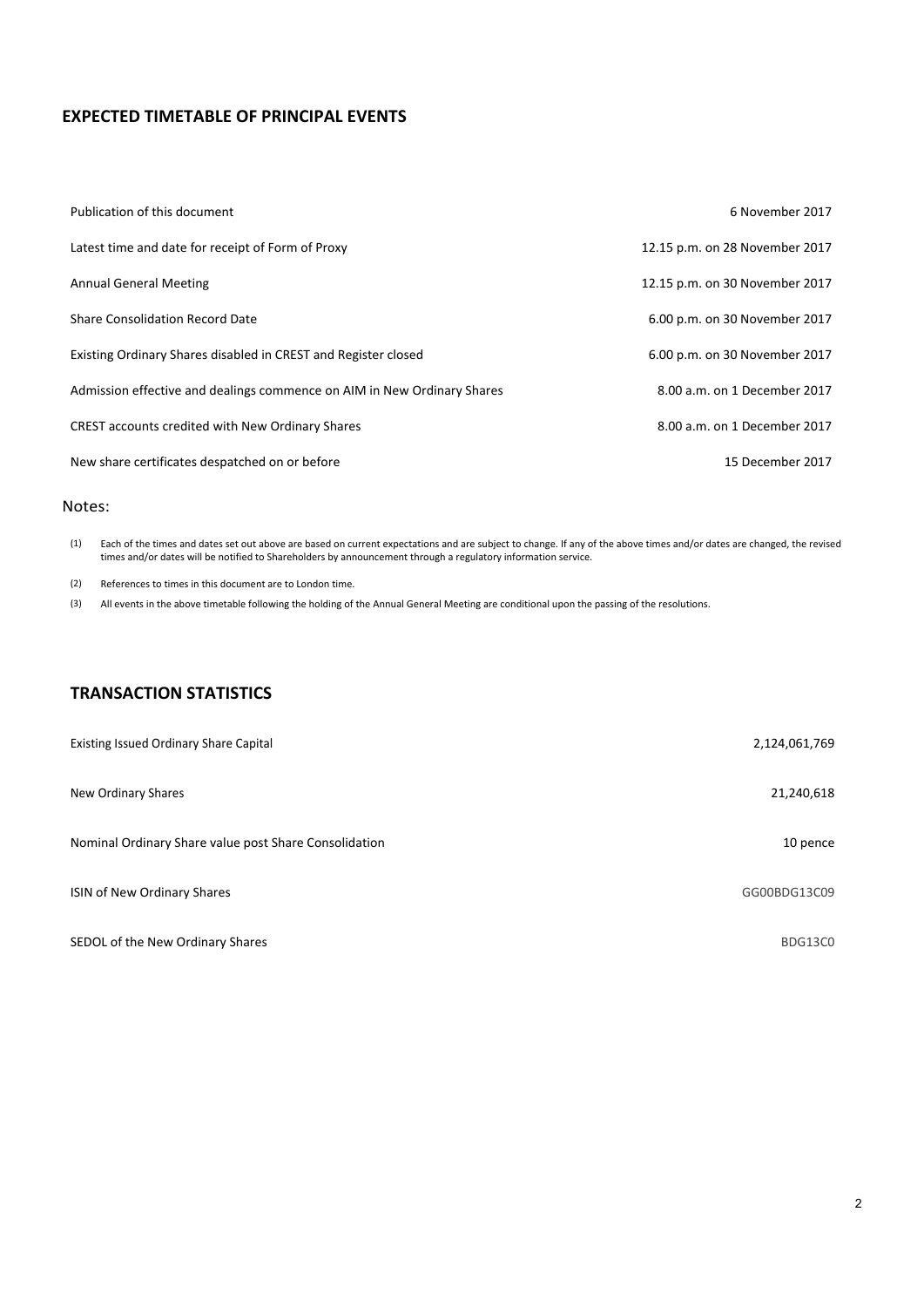# **EXPECTED TIMETABLE OF PRINCIPAL EVENTS**

| Publication of this document                                            | 6 November 2017                |
|-------------------------------------------------------------------------|--------------------------------|
| Latest time and date for receipt of Form of Proxy                       | 12.15 p.m. on 28 November 2017 |
| <b>Annual General Meeting</b>                                           | 12.15 p.m. on 30 November 2017 |
| Share Consolidation Record Date                                         | 6.00 p.m. on 30 November 2017  |
| Existing Ordinary Shares disabled in CREST and Register closed          | 6.00 p.m. on 30 November 2017  |
| Admission effective and dealings commence on AIM in New Ordinary Shares | 8.00 a.m. on 1 December 2017   |
| <b>CREST accounts credited with New Ordinary Shares</b>                 | 8.00 a.m. on 1 December 2017   |
| New share certificates despatched on or before                          | 15 December 2017               |

#### Notes:

(1) Each of the times and dates set out above are based on current expectations and are subject to change. If any of the above times and/or dates are changed, the revised times and/or dates will be notified to Shareholders by announcement through a regulatory information service.

(2) References to times in this document are to London time.

(3) All events in the above timetable following the holding of the Annual General Meeting are conditional upon the passing of the resolutions.

# **TRANSACTION STATISTICS**

| <b>Existing Issued Ordinary Share Capital</b>         | 2,124,061,769 |
|-------------------------------------------------------|---------------|
| New Ordinary Shares                                   | 21,240,618    |
| Nominal Ordinary Share value post Share Consolidation | 10 pence      |
| ISIN of New Ordinary Shares                           | GG00BDG13C09  |
| SEDOL of the New Ordinary Shares                      | BDG13C0       |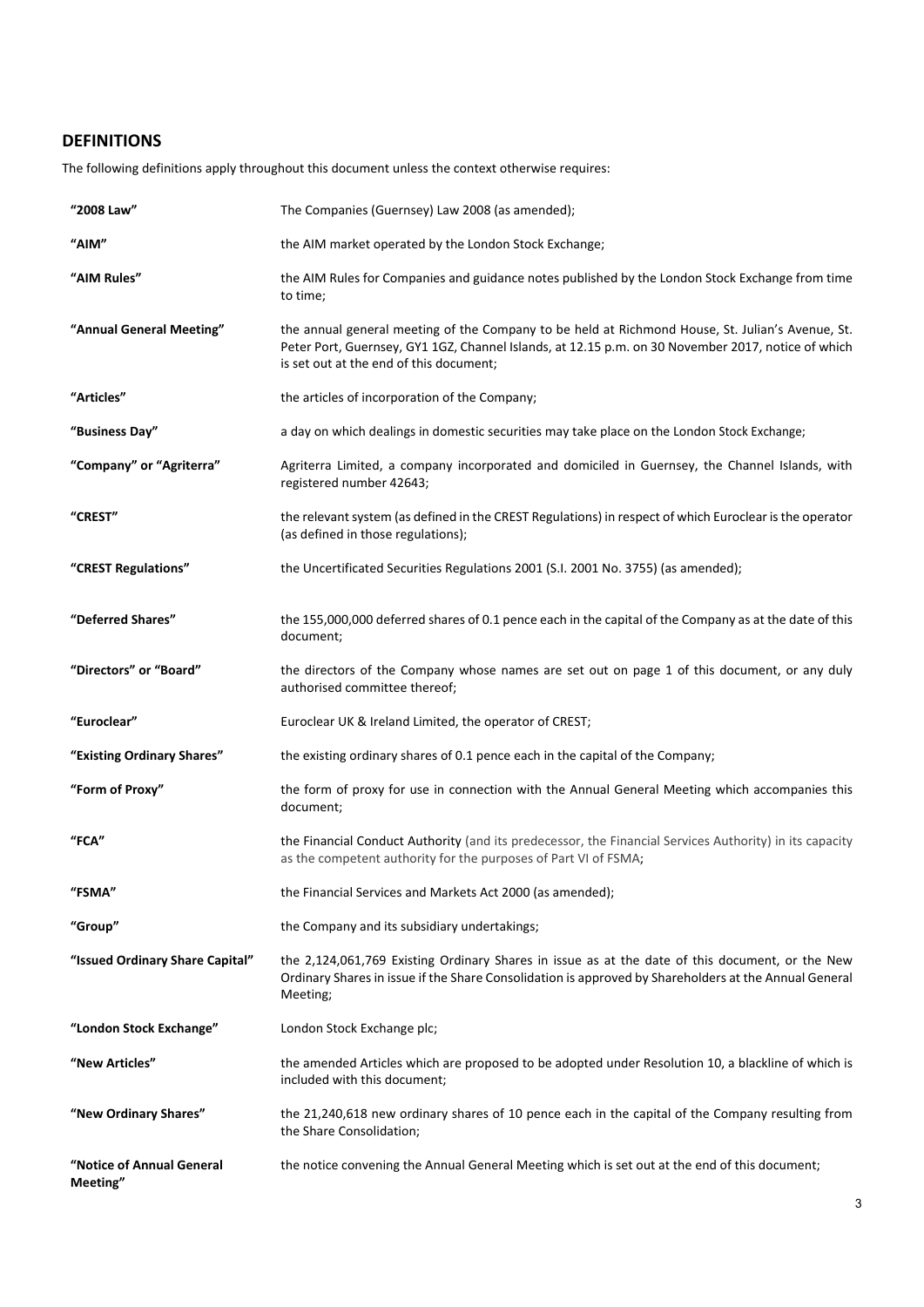## **DEFINITIONS**

The following definitions apply throughout this document unless the context otherwise requires:

| "2008 Law"                            | The Companies (Guernsey) Law 2008 (as amended);                                                                                                                                                                                                   |
|---------------------------------------|---------------------------------------------------------------------------------------------------------------------------------------------------------------------------------------------------------------------------------------------------|
| "AIM"                                 | the AIM market operated by the London Stock Exchange;                                                                                                                                                                                             |
| "AIM Rules"                           | the AIM Rules for Companies and guidance notes published by the London Stock Exchange from time<br>to time;                                                                                                                                       |
| "Annual General Meeting"              | the annual general meeting of the Company to be held at Richmond House, St. Julian's Avenue, St.<br>Peter Port, Guernsey, GY1 1GZ, Channel Islands, at 12.15 p.m. on 30 November 2017, notice of which<br>is set out at the end of this document; |
| "Articles"                            | the articles of incorporation of the Company;                                                                                                                                                                                                     |
| "Business Day"                        | a day on which dealings in domestic securities may take place on the London Stock Exchange;                                                                                                                                                       |
| "Company" or "Agriterra"              | Agriterra Limited, a company incorporated and domiciled in Guernsey, the Channel Islands, with<br>registered number 42643;                                                                                                                        |
| "CREST"                               | the relevant system (as defined in the CREST Regulations) in respect of which Euroclear is the operator<br>(as defined in those regulations);                                                                                                     |
| "CREST Regulations"                   | the Uncertificated Securities Regulations 2001 (S.I. 2001 No. 3755) (as amended);                                                                                                                                                                 |
| "Deferred Shares"                     | the 155,000,000 deferred shares of 0.1 pence each in the capital of the Company as at the date of this<br>document;                                                                                                                               |
| "Directors" or "Board"                | the directors of the Company whose names are set out on page 1 of this document, or any duly<br>authorised committee thereof;                                                                                                                     |
| "Euroclear"                           | Euroclear UK & Ireland Limited, the operator of CREST;                                                                                                                                                                                            |
| "Existing Ordinary Shares"            | the existing ordinary shares of 0.1 pence each in the capital of the Company;                                                                                                                                                                     |
| "Form of Proxy"                       | the form of proxy for use in connection with the Annual General Meeting which accompanies this<br>document;                                                                                                                                       |
| "FCA"                                 | the Financial Conduct Authority (and its predecessor, the Financial Services Authority) in its capacity<br>as the competent authority for the purposes of Part VI of FSMA;                                                                        |
| "FSMA"                                | the Financial Services and Markets Act 2000 (as amended);                                                                                                                                                                                         |
| "Group"                               | the Company and its subsidiary undertakings;                                                                                                                                                                                                      |
| "Issued Ordinary Share Capital"       | the 2,124,061,769 Existing Ordinary Shares in issue as at the date of this document, or the New<br>Ordinary Shares in issue if the Share Consolidation is approved by Shareholders at the Annual General<br>Meeting;                              |
| "London Stock Exchange"               | London Stock Exchange plc;                                                                                                                                                                                                                        |
| "New Articles"                        | the amended Articles which are proposed to be adopted under Resolution 10, a blackline of which is<br>included with this document;                                                                                                                |
| "New Ordinary Shares"                 | the 21,240,618 new ordinary shares of 10 pence each in the capital of the Company resulting from<br>the Share Consolidation;                                                                                                                      |
| "Notice of Annual General<br>Meeting" | the notice convening the Annual General Meeting which is set out at the end of this document;                                                                                                                                                     |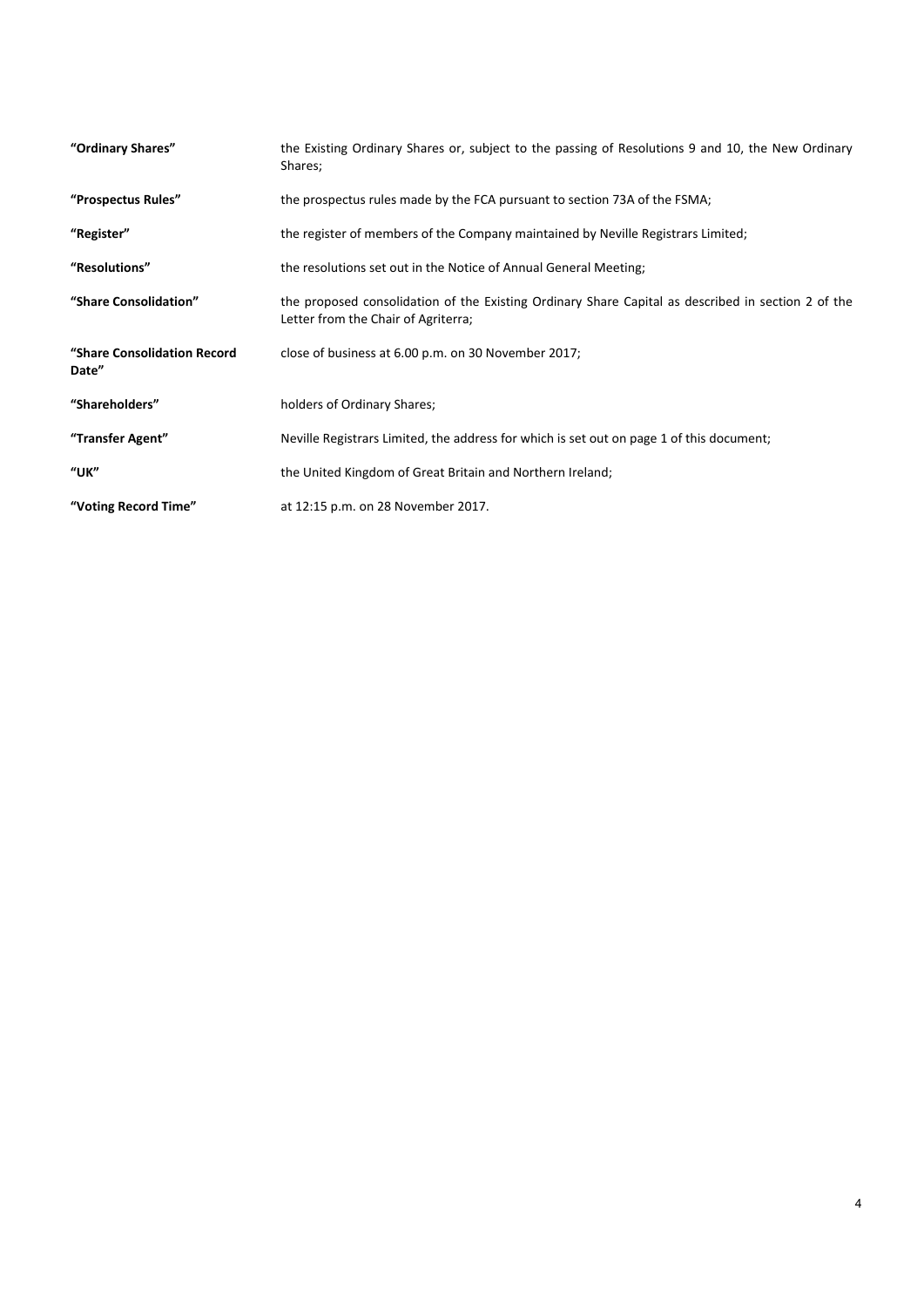| "Ordinary Shares"                    | the Existing Ordinary Shares or, subject to the passing of Resolutions 9 and 10, the New Ordinary<br>Shares;                              |
|--------------------------------------|-------------------------------------------------------------------------------------------------------------------------------------------|
| "Prospectus Rules"                   | the prospectus rules made by the FCA pursuant to section 73A of the FSMA;                                                                 |
| "Register"                           | the register of members of the Company maintained by Neville Registrars Limited;                                                          |
| "Resolutions"                        | the resolutions set out in the Notice of Annual General Meeting;                                                                          |
| "Share Consolidation"                | the proposed consolidation of the Existing Ordinary Share Capital as described in section 2 of the<br>Letter from the Chair of Agriterra; |
| "Share Consolidation Record<br>Date" | close of business at 6.00 p.m. on 30 November 2017;                                                                                       |
| "Shareholders"                       | holders of Ordinary Shares;                                                                                                               |
| "Transfer Agent"                     | Neville Registrars Limited, the address for which is set out on page 1 of this document;                                                  |
| "UК"                                 | the United Kingdom of Great Britain and Northern Ireland;                                                                                 |
| "Voting Record Time"                 | at 12:15 p.m. on 28 November 2017.                                                                                                        |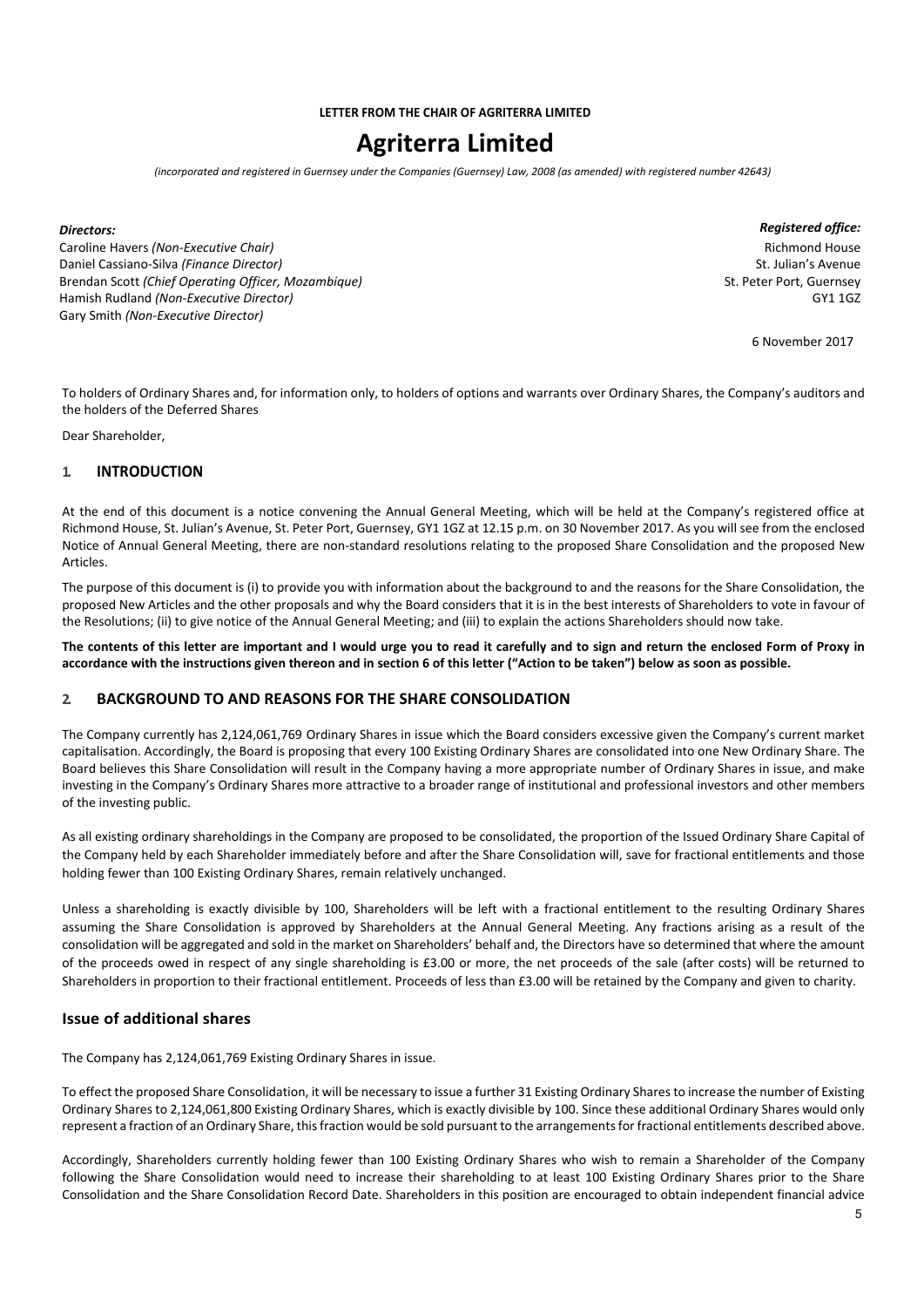**LETTER FROM THE CHAIR OF AGRITERRA LIMITED**

# **Agriterra Limited**

*(incorporated and registered in Guernsey under the Companies (Guernsey) Law, 2008 (as amended) with registered number 42643)* 

*Directors: Registered office:*  Caroline Havers *(Non-Executive Chair)* Daniel Cassiano-Silva *(Finance Director)* Brendan Scott *(Chief Operating Officer, Mozambique)*  Hamish Rudland *(Non-Executive Director)* Gary Smith *(Non-Executive Director)*

Richmond House St. Julian's Avenue St. Peter Port, Guernsey GY1 1GZ

6 November 2017

To holders of Ordinary Shares and, for information only, to holders of options and warrants over Ordinary Shares, the Company's auditors and the holders of the Deferred Shares

Dear Shareholder,

#### **1. INTRODUCTION**

At the end of this document is a notice convening the Annual General Meeting, which will be held at the Company's registered office at Richmond House, St. Julian's Avenue, St. Peter Port, Guernsey, GY1 1GZ at 12.15 p.m. on 30 November 2017. As you will see from the enclosed Notice of Annual General Meeting, there are non-standard resolutions relating to the proposed Share Consolidation and the proposed New Articles.

The purpose of this document is (i) to provide you with information about the background to and the reasons for the Share Consolidation, the proposed New Articles and the other proposals and why the Board considers that it is in the best interests of Shareholders to vote in favour of the Resolutions; (ii) to give notice of the Annual General Meeting; and (iii) to explain the actions Shareholders should now take.

**The contents of this letter are important and I would urge you to read it carefully and to sign and return the enclosed Form of Proxy in accordance with the instructions given thereon and in section 6 of this letter ("Action to be taken") below as soon as possible.** 

#### **2. BACKGROUND TO AND REASONS FOR THE SHARE CONSOLIDATION**

The Company currently has 2,124,061,769 Ordinary Shares in issue which the Board considers excessive given the Company's current market capitalisation. Accordingly, the Board is proposing that every 100 Existing Ordinary Shares are consolidated into one New Ordinary Share. The Board believes this Share Consolidation will result in the Company having a more appropriate number of Ordinary Shares in issue, and make investing in the Company's Ordinary Shares more attractive to a broader range of institutional and professional investors and other members of the investing public.

As all existing ordinary shareholdings in the Company are proposed to be consolidated, the proportion of the Issued Ordinary Share Capital of the Company held by each Shareholder immediately before and after the Share Consolidation will, save for fractional entitlements and those holding fewer than 100 Existing Ordinary Shares, remain relatively unchanged.

Unless a shareholding is exactly divisible by 100, Shareholders will be left with a fractional entitlement to the resulting Ordinary Shares assuming the Share Consolidation is approved by Shareholders at the Annual General Meeting. Any fractions arising as a result of the consolidation will be aggregated and sold in the market on Shareholders' behalf and, the Directors have so determined that where the amount of the proceeds owed in respect of any single shareholding is £3.00 or more, the net proceeds of the sale (after costs) will be returned to Shareholders in proportion to their fractional entitlement. Proceeds of less than £3.00 will be retained by the Company and given to charity.

#### **Issue of additional shares**

The Company has 2,124,061,769 Existing Ordinary Shares in issue.

To effect the proposed Share Consolidation, it will be necessary to issue a further 31 Existing Ordinary Shares to increase the number of Existing Ordinary Shares to 2,124,061,800 Existing Ordinary Shares, which is exactly divisible by 100. Since these additional Ordinary Shares would only represent a fraction of an Ordinary Share, this fraction would be sold pursuant to the arrangements for fractional entitlements described above.

Accordingly, Shareholders currently holding fewer than 100 Existing Ordinary Shares who wish to remain a Shareholder of the Company following the Share Consolidation would need to increase their shareholding to at least 100 Existing Ordinary Shares prior to the Share Consolidation and the Share Consolidation Record Date. Shareholders in this position are encouraged to obtain independent financial advice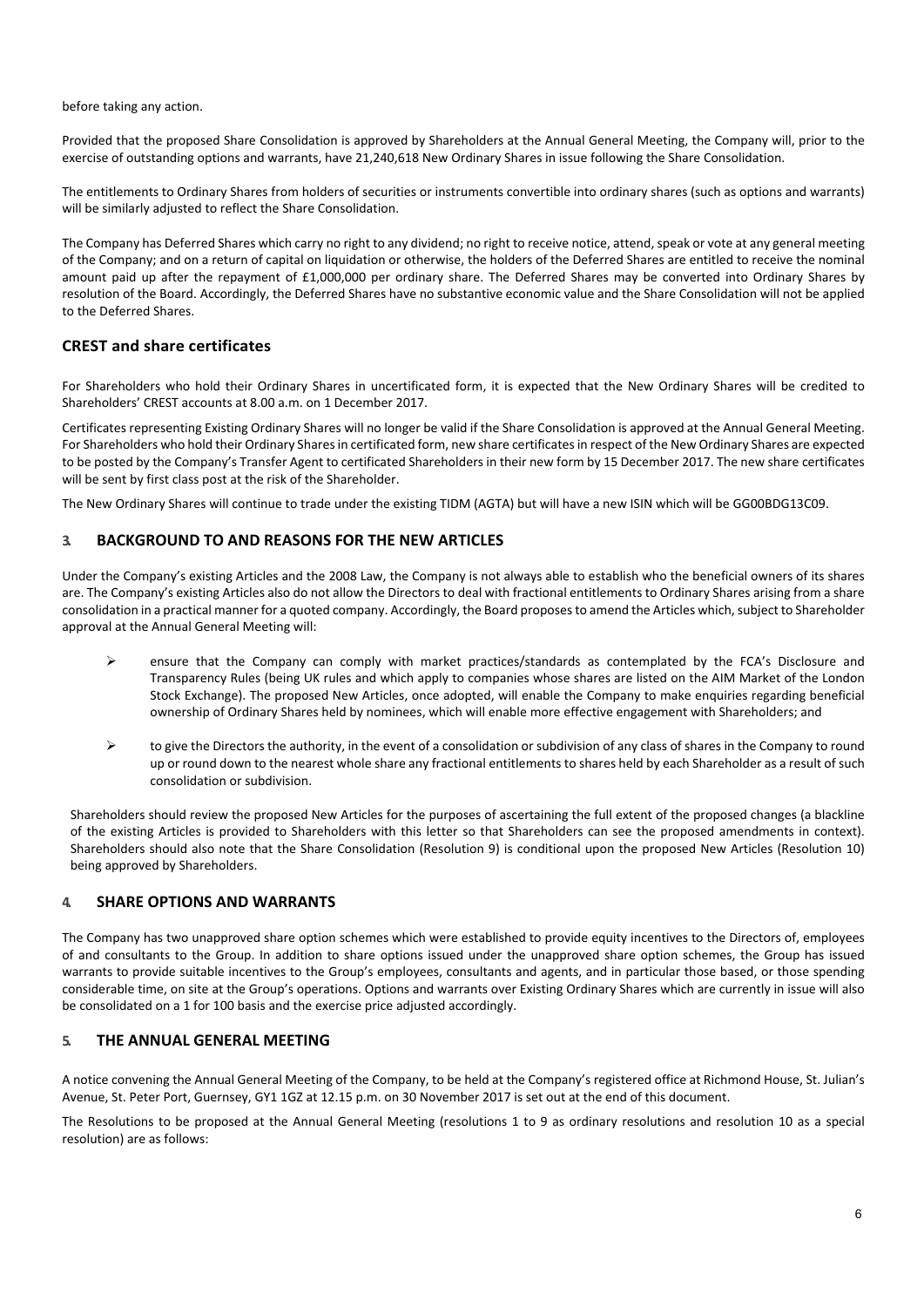before taking any action.

Provided that the proposed Share Consolidation is approved by Shareholders at the Annual General Meeting, the Company will, prior to the exercise of outstanding options and warrants, have 21,240,618 New Ordinary Shares in issue following the Share Consolidation.

The entitlements to Ordinary Shares from holders of securities or instruments convertible into ordinary shares (such as options and warrants) will be similarly adjusted to reflect the Share Consolidation.

The Company has Deferred Shares which carry no right to any dividend; no right to receive notice, attend, speak or vote at any general meeting of the Company; and on a return of capital on liquidation or otherwise, the holders of the Deferred Shares are entitled to receive the nominal amount paid up after the repayment of £1,000,000 per ordinary share. The Deferred Shares may be converted into Ordinary Shares by resolution of the Board. Accordingly, the Deferred Shares have no substantive economic value and the Share Consolidation will not be applied to the Deferred Shares.

### **CREST and share certificates**

For Shareholders who hold their Ordinary Shares in uncertificated form, it is expected that the New Ordinary Shares will be credited to Shareholders' CREST accounts at 8.00 a.m. on 1 December 2017.

Certificates representing Existing Ordinary Shares will no longer be valid if the Share Consolidation is approved at the Annual General Meeting. For Shareholders who hold their Ordinary Shares in certificated form, new share certificates in respect of the New Ordinary Shares are expected to be posted by the Company's Transfer Agent to certificated Shareholders in their new form by 15 December 2017. The new share certificates will be sent by first class post at the risk of the Shareholder.

The New Ordinary Shares will continue to trade under the existing TIDM (AGTA) but will have a new ISIN which will be GG00BDG13C09.

### **3. BACKGROUND TO AND REASONS FOR THE NEW ARTICLES**

Under the Company's existing Articles and the 2008 Law, the Company is not always able to establish who the beneficial owners of its shares are. The Company's existing Articles also do not allow the Directors to deal with fractional entitlements to Ordinary Shares arising from a share consolidation in a practical manner for a quoted company. Accordingly, the Board proposes to amend the Articles which, subject to Shareholder approval at the Annual General Meeting will:

- ¾ ensure that the Company can comply with market practices/standards as contemplated by the FCA's Disclosure and Transparency Rules (being UK rules and which apply to companies whose shares are listed on the AIM Market of the London Stock Exchange). The proposed New Articles, once adopted, will enable the Company to make enquiries regarding beneficial ownership of Ordinary Shares held by nominees, which will enable more effective engagement with Shareholders; and
- $\triangleright$  to give the Directors the authority, in the event of a consolidation or subdivision of any class of shares in the Company to round up or round down to the nearest whole share any fractional entitlements to shares held by each Shareholder as a result of such consolidation or subdivision.

Shareholders should review the proposed New Articles for the purposes of ascertaining the full extent of the proposed changes (a blackline of the existing Articles is provided to Shareholders with this letter so that Shareholders can see the proposed amendments in context). Shareholders should also note that the Share Consolidation (Resolution 9) is conditional upon the proposed New Articles (Resolution 10) being approved by Shareholders.

#### **4. SHARE OPTIONS AND WARRANTS**

The Company has two unapproved share option schemes which were established to provide equity incentives to the Directors of, employees of and consultants to the Group. In addition to share options issued under the unapproved share option schemes, the Group has issued warrants to provide suitable incentives to the Group's employees, consultants and agents, and in particular those based, or those spending considerable time, on site at the Group's operations. Options and warrants over Existing Ordinary Shares which are currently in issue will also be consolidated on a 1 for 100 basis and the exercise price adjusted accordingly.

#### **5. THE ANNUAL GENERAL MEETING**

A notice convening the Annual General Meeting of the Company, to be held at the Company's registered office at Richmond House, St. Julian's Avenue, St. Peter Port, Guernsey, GY1 1GZ at 12.15 p.m. on 30 November 2017 is set out at the end of this document.

The Resolutions to be proposed at the Annual General Meeting (resolutions 1 to 9 as ordinary resolutions and resolution 10 as a special resolution) are as follows: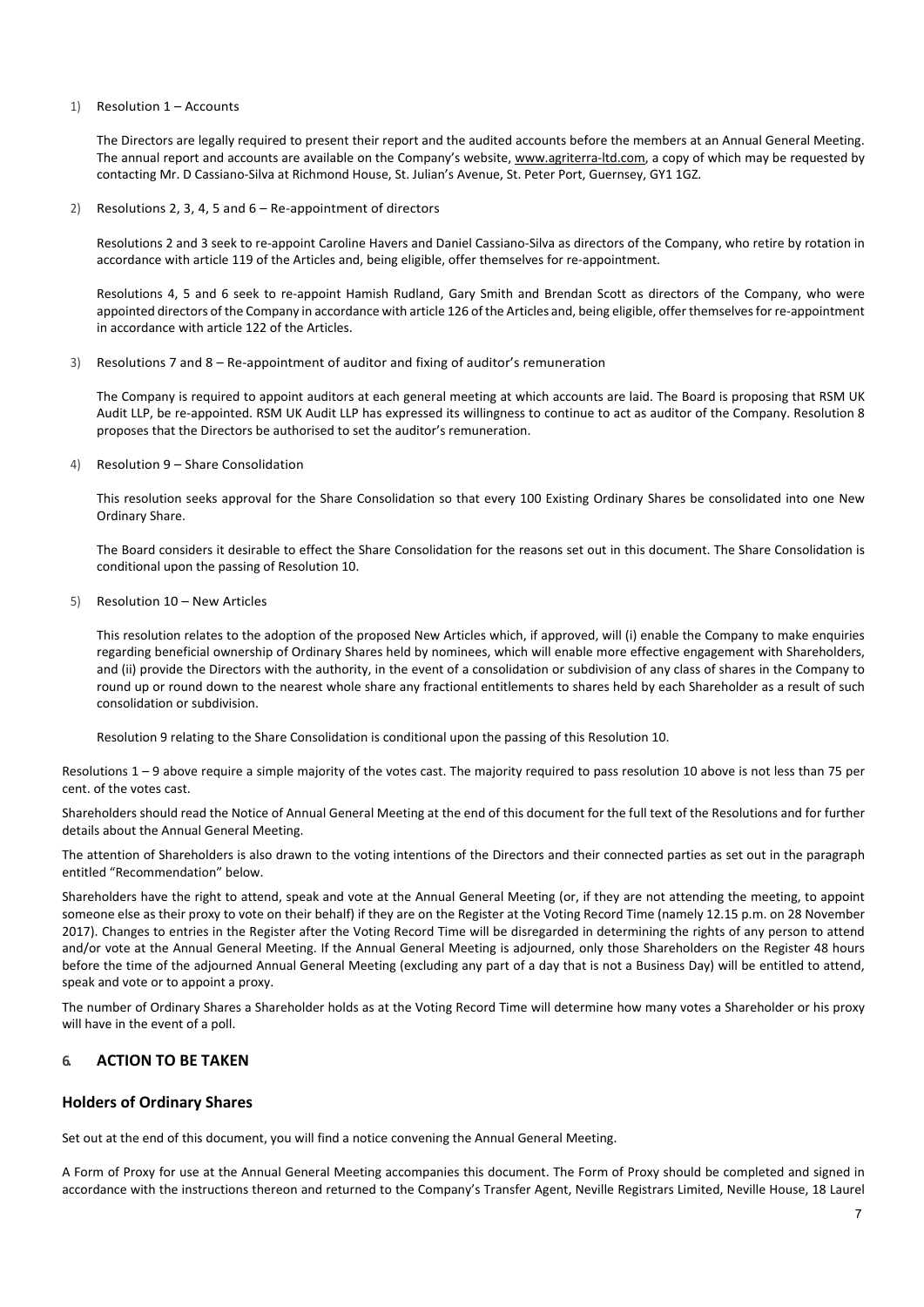#### 1) Resolution 1 – Accounts

The Directors are legally required to present their report and the audited accounts before the members at an Annual General Meeting. The annual report and accounts are available on the Company's website, www.agriterra-ltd.com, a copy of which may be requested by contacting Mr. D Cassiano-Silva at Richmond House, St. Julian's Avenue, St. Peter Port, Guernsey, GY1 1GZ.

2) Resolutions 2, 3, 4, 5 and 6 – Re-appointment of directors

Resolutions 2 and 3 seek to re-appoint Caroline Havers and Daniel Cassiano-Silva as directors of the Company, who retire by rotation in accordance with article 119 of the Articles and, being eligible, offer themselves for re-appointment.

Resolutions 4, 5 and 6 seek to re-appoint Hamish Rudland, Gary Smith and Brendan Scott as directors of the Company, who were appointed directors of the Company in accordance with article 126 of the Articles and, being eligible, offer themselves for re-appointment in accordance with article 122 of the Articles.

3) Resolutions 7 and 8 – Re-appointment of auditor and fixing of auditor's remuneration

The Company is required to appoint auditors at each general meeting at which accounts are laid. The Board is proposing that RSM UK Audit LLP, be re-appointed. RSM UK Audit LLP has expressed its willingness to continue to act as auditor of the Company. Resolution 8 proposes that the Directors be authorised to set the auditor's remuneration.

4) Resolution 9 – Share Consolidation

This resolution seeks approval for the Share Consolidation so that every 100 Existing Ordinary Shares be consolidated into one New Ordinary Share.

The Board considers it desirable to effect the Share Consolidation for the reasons set out in this document. The Share Consolidation is conditional upon the passing of Resolution 10.

5) Resolution 10 – New Articles

This resolution relates to the adoption of the proposed New Articles which, if approved, will (i) enable the Company to make enquiries regarding beneficial ownership of Ordinary Shares held by nominees, which will enable more effective engagement with Shareholders, and (ii) provide the Directors with the authority, in the event of a consolidation or subdivision of any class of shares in the Company to round up or round down to the nearest whole share any fractional entitlements to shares held by each Shareholder as a result of such consolidation or subdivision.

Resolution 9 relating to the Share Consolidation is conditional upon the passing of this Resolution 10.

Resolutions 1 – 9 above require a simple majority of the votes cast. The majority required to pass resolution 10 above is not less than 75 per cent. of the votes cast.

Shareholders should read the Notice of Annual General Meeting at the end of this document for the full text of the Resolutions and for further details about the Annual General Meeting.

The attention of Shareholders is also drawn to the voting intentions of the Directors and their connected parties as set out in the paragraph entitled "Recommendation" below.

Shareholders have the right to attend, speak and vote at the Annual General Meeting (or, if they are not attending the meeting, to appoint someone else as their proxy to vote on their behalf) if they are on the Register at the Voting Record Time (namely 12.15 p.m. on 28 November 2017). Changes to entries in the Register after the Voting Record Time will be disregarded in determining the rights of any person to attend and/or vote at the Annual General Meeting. If the Annual General Meeting is adjourned, only those Shareholders on the Register 48 hours before the time of the adjourned Annual General Meeting (excluding any part of a day that is not a Business Day) will be entitled to attend, speak and vote or to appoint a proxy.

The number of Ordinary Shares a Shareholder holds as at the Voting Record Time will determine how many votes a Shareholder or his proxy will have in the event of a poll.

#### **6. ACTION TO BE TAKEN**

#### **Holders of Ordinary Shares**

Set out at the end of this document, you will find a notice convening the Annual General Meeting.

A Form of Proxy for use at the Annual General Meeting accompanies this document. The Form of Proxy should be completed and signed in accordance with the instructions thereon and returned to the Company's Transfer Agent, Neville Registrars Limited, Neville House, 18 Laurel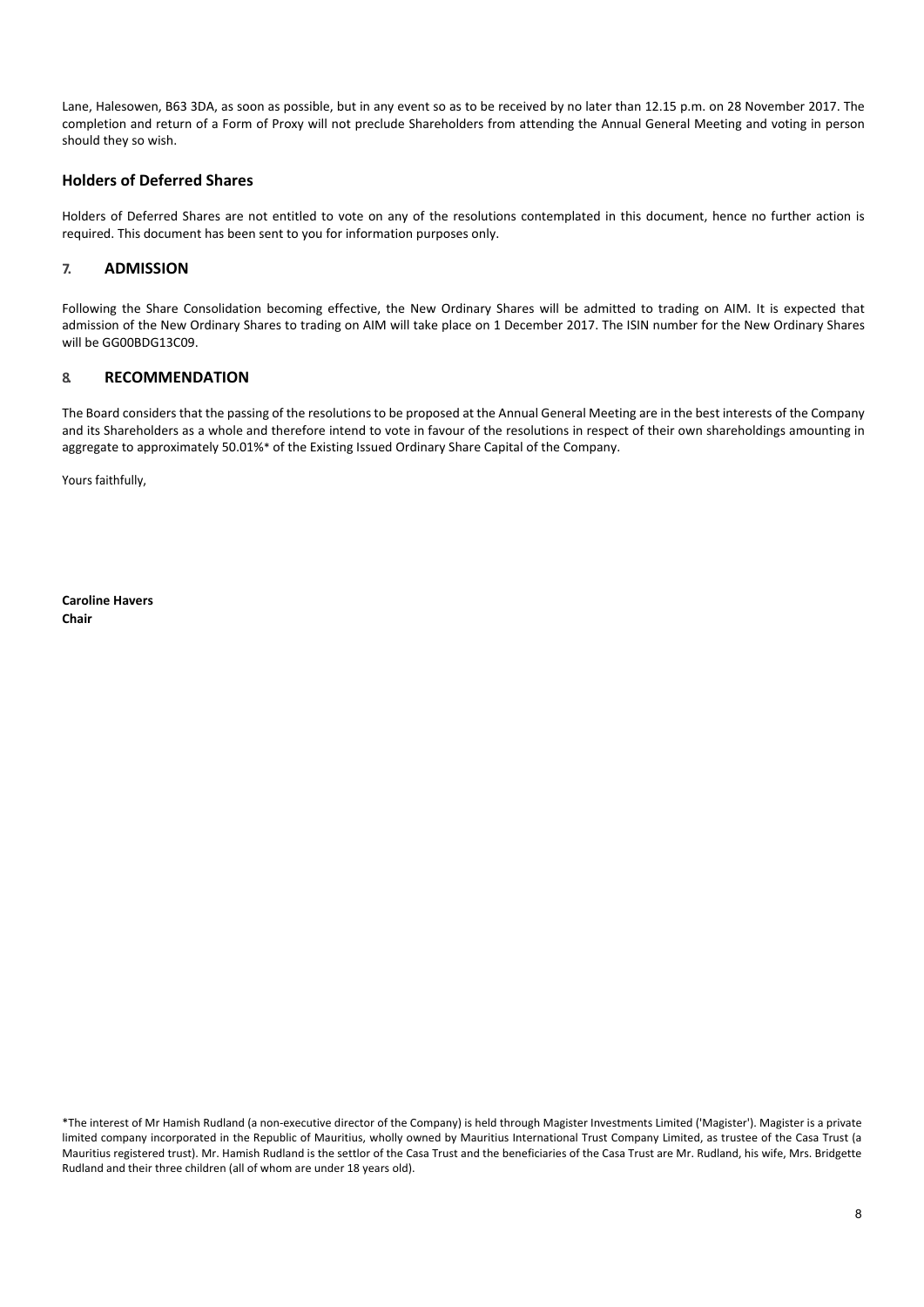Lane, Halesowen, B63 3DA, as soon as possible, but in any event so as to be received by no later than 12.15 p.m. on 28 November 2017. The completion and return of a Form of Proxy will not preclude Shareholders from attending the Annual General Meeting and voting in person should they so wish.

### **Holders of Deferred Shares**

Holders of Deferred Shares are not entitled to vote on any of the resolutions contemplated in this document, hence no further action is required. This document has been sent to you for information purposes only.

#### **7. ADMISSION**

Following the Share Consolidation becoming effective, the New Ordinary Shares will be admitted to trading on AIM. It is expected that admission of the New Ordinary Shares to trading on AIM will take place on 1 December 2017. The ISIN number for the New Ordinary Shares will be GG00BDG13C09.

#### **8. RECOMMENDATION**

The Board considers that the passing of the resolutions to be proposed at the Annual General Meeting are in the best interests of the Company and its Shareholders as a whole and therefore intend to vote in favour of the resolutions in respect of their own shareholdings amounting in aggregate to approximately 50.01%\* of the Existing Issued Ordinary Share Capital of the Company.

Yours faithfully,

**Caroline Havers Chair** 

\*The interest of Mr Hamish Rudland (a non-executive director of the Company) is held through Magister Investments Limited ('Magister'). Magister is a private limited company incorporated in the Republic of Mauritius, wholly owned by Mauritius International Trust Company Limited, as trustee of the Casa Trust (a Mauritius registered trust). Mr. Hamish Rudland is the settlor of the Casa Trust and the beneficiaries of the Casa Trust are Mr. Rudland, his wife, Mrs. Bridgette Rudland and their three children (all of whom are under 18 years old).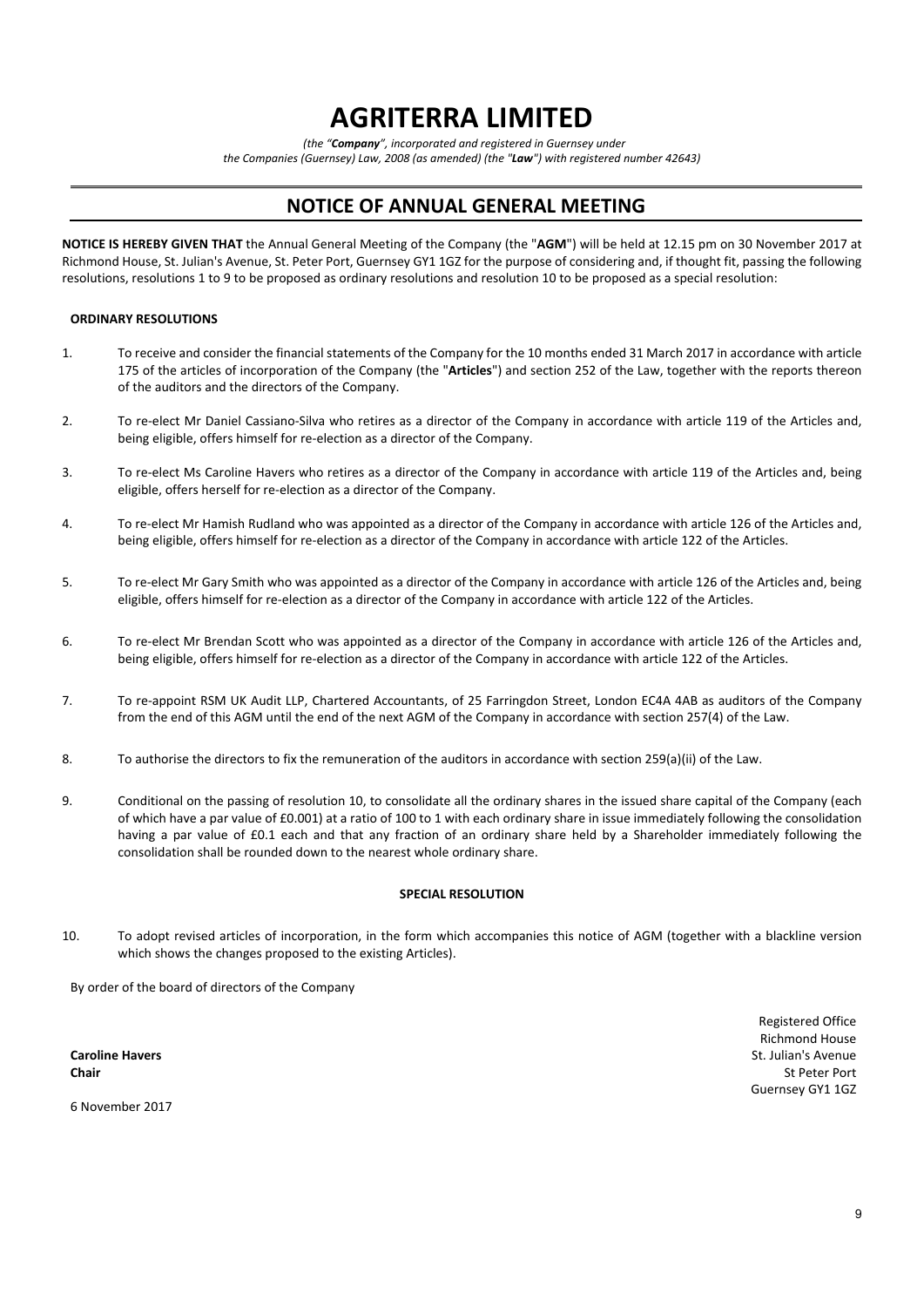# **AGRITERRA LIMITED**

*(the "Company", incorporated and registered in Guernsey under the Companies (Guernsey) Law, 2008 (as amended) (the "Law") with registered number 42643)* 

# **NOTICE OF ANNUAL GENERAL MEETING**

**NOTICE IS HEREBY GIVEN THAT** the Annual General Meeting of the Company (the "**AGM**") will be held at 12.15 pm on 30 November 2017 at Richmond House, St. Julian's Avenue, St. Peter Port, Guernsey GY1 1GZ for the purpose of considering and, if thought fit, passing the following resolutions, resolutions 1 to 9 to be proposed as ordinary resolutions and resolution 10 to be proposed as a special resolution:

#### **ORDINARY RESOLUTIONS**

- 1. To receive and consider the financial statements of the Company for the 10 months ended 31 March 2017 in accordance with article 175 of the articles of incorporation of the Company (the "**Articles**") and section 252 of the Law, together with the reports thereon of the auditors and the directors of the Company.
- 2. To re-elect Mr Daniel Cassiano-Silva who retires as a director of the Company in accordance with article 119 of the Articles and, being eligible, offers himself for re-election as a director of the Company.
- 3. To re-elect Ms Caroline Havers who retires as a director of the Company in accordance with article 119 of the Articles and, being eligible, offers herself for re-election as a director of the Company.
- 4. To re-elect Mr Hamish Rudland who was appointed as a director of the Company in accordance with article 126 of the Articles and, being eligible, offers himself for re-election as a director of the Company in accordance with article 122 of the Articles.
- 5. To re-elect Mr Gary Smith who was appointed as a director of the Company in accordance with article 126 of the Articles and, being eligible, offers himself for re-election as a director of the Company in accordance with article 122 of the Articles.
- 6. To re-elect Mr Brendan Scott who was appointed as a director of the Company in accordance with article 126 of the Articles and, being eligible, offers himself for re-election as a director of the Company in accordance with article 122 of the Articles.
- 7. To re-appoint RSM UK Audit LLP, Chartered Accountants, of 25 Farringdon Street, London EC4A 4AB as auditors of the Company from the end of this AGM until the end of the next AGM of the Company in accordance with section 257(4) of the Law.
- 8. To authorise the directors to fix the remuneration of the auditors in accordance with section 259(a)(ii) of the Law.
- 9. Conditional on the passing of resolution 10, to consolidate all the ordinary shares in the issued share capital of the Company (each of which have a par value of £0.001) at a ratio of 100 to 1 with each ordinary share in issue immediately following the consolidation having a par value of £0.1 each and that any fraction of an ordinary share held by a Shareholder immediately following the consolidation shall be rounded down to the nearest whole ordinary share.

#### **SPECIAL RESOLUTION**

10. To adopt revised articles of incorporation, in the form which accompanies this notice of AGM (together with a blackline version which shows the changes proposed to the existing Articles).

By order of the board of directors of the Company

**Caroline Havers Chair**

6 November 2017

Registered Office Richmond House St. Julian's Avenue St Peter Port Guernsey GY1 1GZ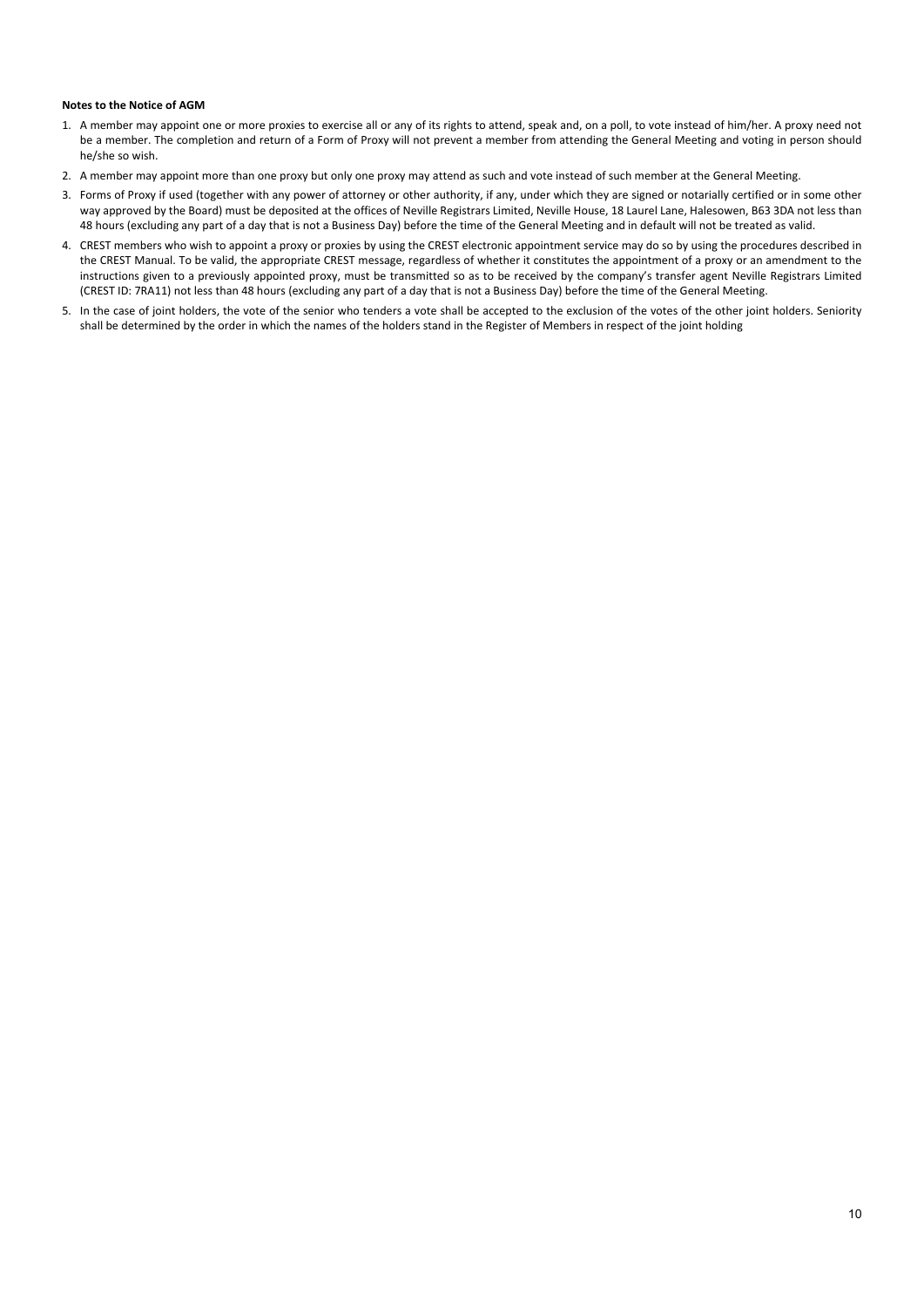#### **Notes to the Notice of AGM**

- 1. A member may appoint one or more proxies to exercise all or any of its rights to attend, speak and, on a poll, to vote instead of him/her. A proxy need not be a member. The completion and return of a Form of Proxy will not prevent a member from attending the General Meeting and voting in person should he/she so wish.
- 2. A member may appoint more than one proxy but only one proxy may attend as such and vote instead of such member at the General Meeting.
- 3. Forms of Proxy if used (together with any power of attorney or other authority, if any, under which they are signed or notarially certified or in some other way approved by the Board) must be deposited at the offices of Neville Registrars Limited, Neville House, 18 Laurel Lane, Halesowen, B63 3DA not less than 48 hours (excluding any part of a day that is not a Business Day) before the time of the General Meeting and in default will not be treated as valid.
- 4. CREST members who wish to appoint a proxy or proxies by using the CREST electronic appointment service may do so by using the procedures described in the CREST Manual. To be valid, the appropriate CREST message, regardless of whether it constitutes the appointment of a proxy or an amendment to the instructions given to a previously appointed proxy, must be transmitted so as to be received by the company's transfer agent Neville Registrars Limited (CREST ID: 7RA11) not less than 48 hours (excluding any part of a day that is not a Business Day) before the time of the General Meeting.
- 5. In the case of joint holders, the vote of the senior who tenders a vote shall be accepted to the exclusion of the votes of the other joint holders. Seniority shall be determined by the order in which the names of the holders stand in the Register of Members in respect of the joint holding